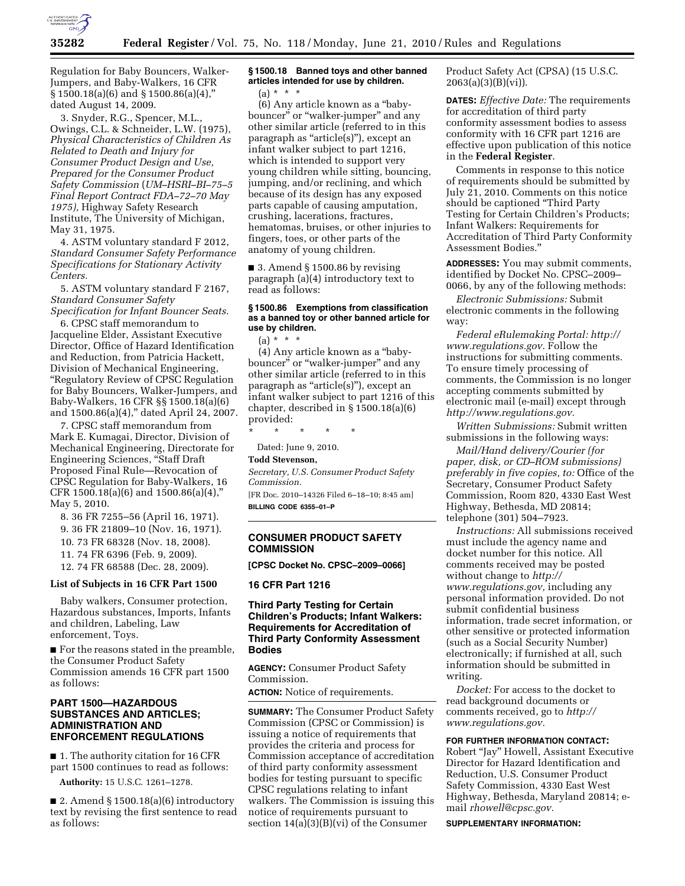

Regulation for Baby Bouncers, Walker-Jumpers, and Baby-Walkers, 16 CFR  $\S 1500.18(a)(6)$  and  $\S 1500.86(a)(4)$ ,

dated August 14, 2009. 3. Snyder, R.G., Spencer, M.L., Owings, C.L. & Schneider, L.W. (1975), *Physical Characteristics of Children As Related to Death and Injury for Consumer Product Design and Use, Prepared for the Consumer Product Safety Commission* (*UM–HSRI–BI–75–5 Final Report Contract FDA–72–70 May 1975),* Highway Safety Research Institute, The University of Michigan, May 31, 1975.

4. ASTM voluntary standard F 2012, *Standard Consumer Safety Performance Specifications for Stationary Activity Centers.* 

5. ASTM voluntary standard F 2167, *Standard Consumer Safety Specification for Infant Bouncer Seats.* 

6. CPSC staff memorandum to Jacqueline Elder, Assistant Executive Director, Office of Hazard Identification and Reduction, from Patricia Hackett, Division of Mechanical Engineering, ''Regulatory Review of CPSC Regulation for Baby Bouncers, Walker-Jumpers, and Baby-Walkers, 16 CFR §§ 1500.18(a)(6) and 1500.86(a)(4)," dated April 24, 2007.

7. CPSC staff memorandum from Mark E. Kumagai, Director, Division of Mechanical Engineering, Directorate for Engineering Sciences, ''Staff Draft Proposed Final Rule—Revocation of CPSC Regulation for Baby-Walkers, 16 CFR 1500.18(a)(6) and 1500.86(a)(4),'' May 5, 2010.

8. 36 FR 7255–56 (April 16, 1971).

9. 36 FR 21809–10 (Nov. 16, 1971).

10. 73 FR 68328 (Nov. 18, 2008).

11. 74 FR 6396 (Feb. 9, 2009).

12. 74 FR 68588 (Dec. 28, 2009).

## **List of Subjects in 16 CFR Part 1500**

Baby walkers, Consumer protection, Hazardous substances, Imports, Infants and children, Labeling, Law enforcement, Toys.

■ For the reasons stated in the preamble, the Consumer Product Safety Commission amends 16 CFR part 1500 as follows:

## **PART 1500—HAZARDOUS SUBSTANCES AND ARTICLES; ADMINISTRATION AND ENFORCEMENT REGULATIONS**

■ 1. The authority citation for 16 CFR part 1500 continues to read as follows:

**Authority:** 15 U.S.C. 1261–1278.

■ 2. Amend § 1500.18(a)(6) introductory text by revising the first sentence to read as follows:

# **§ 1500.18 Banned toys and other banned articles intended for use by children.**

(a) \* \* \* (6) Any article known as a ''babybouncer" or "walker-jumper" and any other similar article (referred to in this paragraph as ''article(s)''), except an infant walker subject to part 1216, which is intended to support very young children while sitting, bouncing, jumping, and/or reclining, and which because of its design has any exposed parts capable of causing amputation, crushing, lacerations, fractures, hematomas, bruises, or other injuries to fingers, toes, or other parts of the anatomy of young children.

■ 3. Amend § 1500.86 by revising paragraph (a)(4) introductory text to read as follows:

#### **§ 1500.86 Exemptions from classification as a banned toy or other banned article for use by children.**

 $(a) * * * *$ 

(4) Any article known as a ''babybouncer'' or ''walker-jumper'' and any other similar article (referred to in this paragraph as ''article(s)''), except an infant walker subject to part 1216 of this chapter, described in § 1500.18(a)(6) provided:

\* \* \* \* \*

Dated: June 9, 2010.

#### **Todd Stevenson,**

*Secretary, U.S. Consumer Product Safety Commission.* 

[FR Doc. 2010–14326 Filed 6–18–10; 8:45 am] **BILLING CODE 6355–01–P** 

## **CONSUMER PRODUCT SAFETY COMMISSION**

**[CPSC Docket No. CPSC–2009–0066]** 

**16 CFR Part 1216** 

## **Third Party Testing for Certain Children's Products; Infant Walkers: Requirements for Accreditation of Third Party Conformity Assessment Bodies**

**AGENCY:** Consumer Product Safety Commission.

**ACTION:** Notice of requirements.

**SUMMARY:** The Consumer Product Safety Commission (CPSC or Commission) is issuing a notice of requirements that provides the criteria and process for Commission acceptance of accreditation of third party conformity assessment bodies for testing pursuant to specific CPSC regulations relating to infant walkers. The Commission is issuing this notice of requirements pursuant to section 14(a)(3)(B)(vi) of the Consumer

Product Safety Act (CPSA) (15 U.S.C.  $2063(a)(3)(B)(vi)$ .

**DATES:** *Effective Date:* The requirements for accreditation of third party conformity assessment bodies to assess conformity with 16 CFR part 1216 are effective upon publication of this notice in the **Federal Register**.

Comments in response to this notice of requirements should be submitted by July 21, 2010. Comments on this notice should be captioned ''Third Party Testing for Certain Children's Products; Infant Walkers: Requirements for Accreditation of Third Party Conformity Assessment Bodies.''

**ADDRESSES:** You may submit comments, identified by Docket No. CPSC–2009– 0066, by any of the following methods:

*Electronic Submissions:* Submit electronic comments in the following way:

*Federal eRulemaking Portal: http:// www.regulations.gov.* Follow the instructions for submitting comments. To ensure timely processing of comments, the Commission is no longer accepting comments submitted by electronic mail (e-mail) except through *http://www.regulations.gov.* 

*Written Submissions:* Submit written submissions in the following ways:

*Mail/Hand delivery/Courier (for paper, disk, or CD–ROM submissions) preferably in five copies, to:* Office of the Secretary, Consumer Product Safety Commission, Room 820, 4330 East West Highway, Bethesda, MD 20814; telephone (301) 504–7923.

*Instructions:* All submissions received must include the agency name and docket number for this notice. All comments received may be posted without change to *http:// www.regulations.gov,* including any personal information provided. Do not submit confidential business information, trade secret information, or other sensitive or protected information (such as a Social Security Number) electronically; if furnished at all, such information should be submitted in writing.

*Docket:* For access to the docket to read background documents or comments received, go to *http:// www.regulations.gov.* 

**FOR FURTHER INFORMATION CONTACT:** 

Robert ''Jay'' Howell, Assistant Executive Director for Hazard Identification and Reduction, U.S. Consumer Product Safety Commission, 4330 East West Highway, Bethesda, Maryland 20814; email *rhowell@cpsc.gov.* 

**SUPPLEMENTARY INFORMATION:**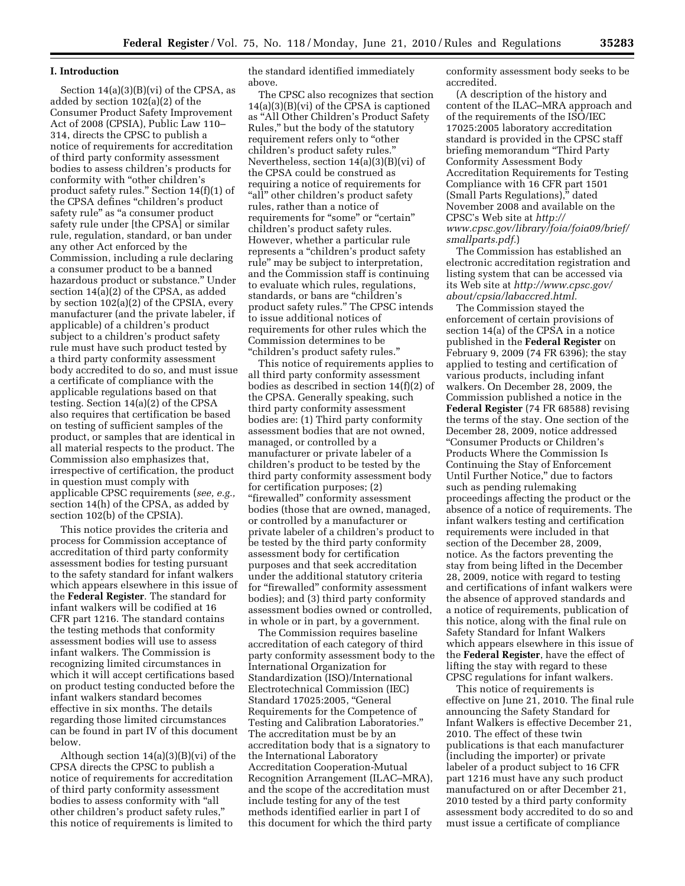#### **I. Introduction**

Section 14(a)(3)(B)(vi) of the CPSA, as added by section 102(a)(2) of the Consumer Product Safety Improvement Act of 2008 (CPSIA), Public Law 110– 314, directs the CPSC to publish a notice of requirements for accreditation of third party conformity assessment bodies to assess children's products for conformity with ''other children's product safety rules.'' Section 14(f)(1) of the CPSA defines ''children's product safety rule" as "a consumer product safety rule under [the CPSA] or similar rule, regulation, standard, or ban under any other Act enforced by the Commission, including a rule declaring a consumer product to be a banned hazardous product or substance.'' Under section 14(a)(2) of the CPSA, as added by section 102(a)(2) of the CPSIA, every manufacturer (and the private labeler, if applicable) of a children's product subject to a children's product safety rule must have such product tested by a third party conformity assessment body accredited to do so, and must issue a certificate of compliance with the applicable regulations based on that testing. Section 14(a)(2) of the CPSA also requires that certification be based on testing of sufficient samples of the product, or samples that are identical in all material respects to the product. The Commission also emphasizes that, irrespective of certification, the product in question must comply with applicable CPSC requirements (*see, e.g.,*  section 14(h) of the CPSA, as added by section 102(b) of the CPSIA).

This notice provides the criteria and process for Commission acceptance of accreditation of third party conformity assessment bodies for testing pursuant to the safety standard for infant walkers which appears elsewhere in this issue of the **Federal Register**. The standard for infant walkers will be codified at 16 CFR part 1216. The standard contains the testing methods that conformity assessment bodies will use to assess infant walkers. The Commission is recognizing limited circumstances in which it will accept certifications based on product testing conducted before the infant walkers standard becomes effective in six months. The details regarding those limited circumstances can be found in part IV of this document below.

Although section  $14(a)(3)(B)(vi)$  of the CPSA directs the CPSC to publish a notice of requirements for accreditation of third party conformity assessment bodies to assess conformity with ''all other children's product safety rules,'' this notice of requirements is limited to

the standard identified immediately above.

The CPSC also recognizes that section 14(a)(3)(B)(vi) of the CPSA is captioned as ''All Other Children's Product Safety Rules,'' but the body of the statutory requirement refers only to ''other children's product safety rules.'' Nevertheless, section 14(a)(3)(B)(vi) of the CPSA could be construed as requiring a notice of requirements for "all" other children's product safety rules, rather than a notice of requirements for "some" or "certain" children's product safety rules. However, whether a particular rule represents a "children's product safety rule'' may be subject to interpretation, and the Commission staff is continuing to evaluate which rules, regulations, standards, or bans are "children's product safety rules.'' The CPSC intends to issue additional notices of requirements for other rules which the Commission determines to be ''children's product safety rules.''

This notice of requirements applies to all third party conformity assessment bodies as described in section 14(f)(2) of the CPSA. Generally speaking, such third party conformity assessment bodies are: (1) Third party conformity assessment bodies that are not owned, managed, or controlled by a manufacturer or private labeler of a children's product to be tested by the third party conformity assessment body for certification purposes; (2) ''firewalled'' conformity assessment bodies (those that are owned, managed, or controlled by a manufacturer or private labeler of a children's product to be tested by the third party conformity assessment body for certification purposes and that seek accreditation under the additional statutory criteria for "firewalled" conformity assessment bodies); and (3) third party conformity assessment bodies owned or controlled, in whole or in part, by a government.

The Commission requires baseline accreditation of each category of third party conformity assessment body to the International Organization for Standardization (ISO)/International Electrotechnical Commission (IEC) Standard 17025:2005, ''General Requirements for the Competence of Testing and Calibration Laboratories.'' The accreditation must be by an accreditation body that is a signatory to the International Laboratory Accreditation Cooperation-Mutual Recognition Arrangement (ILAC–MRA), and the scope of the accreditation must include testing for any of the test methods identified earlier in part I of this document for which the third party

conformity assessment body seeks to be accredited.

(A description of the history and content of the ILAC–MRA approach and of the requirements of the ISO/IEC 17025:2005 laboratory accreditation standard is provided in the CPSC staff briefing memorandum ''Third Party Conformity Assessment Body Accreditation Requirements for Testing Compliance with 16 CFR part 1501 (Small Parts Regulations)," dated November 2008 and available on the CPSC's Web site at *http:// www.cpsc.gov/library/foia/foia09/brief/ smallparts.pdf.*)

The Commission has established an electronic accreditation registration and listing system that can be accessed via its Web site at *http://www.cpsc.gov/ about/cpsia/labaccred.html.* 

The Commission stayed the enforcement of certain provisions of section 14(a) of the CPSA in a notice published in the **Federal Register** on February 9, 2009 (74 FR 6396); the stay applied to testing and certification of various products, including infant walkers. On December 28, 2009, the Commission published a notice in the **Federal Register** (74 FR 68588) revising the terms of the stay. One section of the December 28, 2009, notice addressed ''Consumer Products or Children's Products Where the Commission Is Continuing the Stay of Enforcement Until Further Notice,'' due to factors such as pending rulemaking proceedings affecting the product or the absence of a notice of requirements. The infant walkers testing and certification requirements were included in that section of the December 28, 2009, notice. As the factors preventing the stay from being lifted in the December 28, 2009, notice with regard to testing and certifications of infant walkers were the absence of approved standards and a notice of requirements, publication of this notice, along with the final rule on Safety Standard for Infant Walkers which appears elsewhere in this issue of the **Federal Register**, have the effect of lifting the stay with regard to these CPSC regulations for infant walkers.

This notice of requirements is effective on June 21, 2010. The final rule announcing the Safety Standard for Infant Walkers is effective December 21, 2010. The effect of these twin publications is that each manufacturer (including the importer) or private labeler of a product subject to 16 CFR part 1216 must have any such product manufactured on or after December 21, 2010 tested by a third party conformity assessment body accredited to do so and must issue a certificate of compliance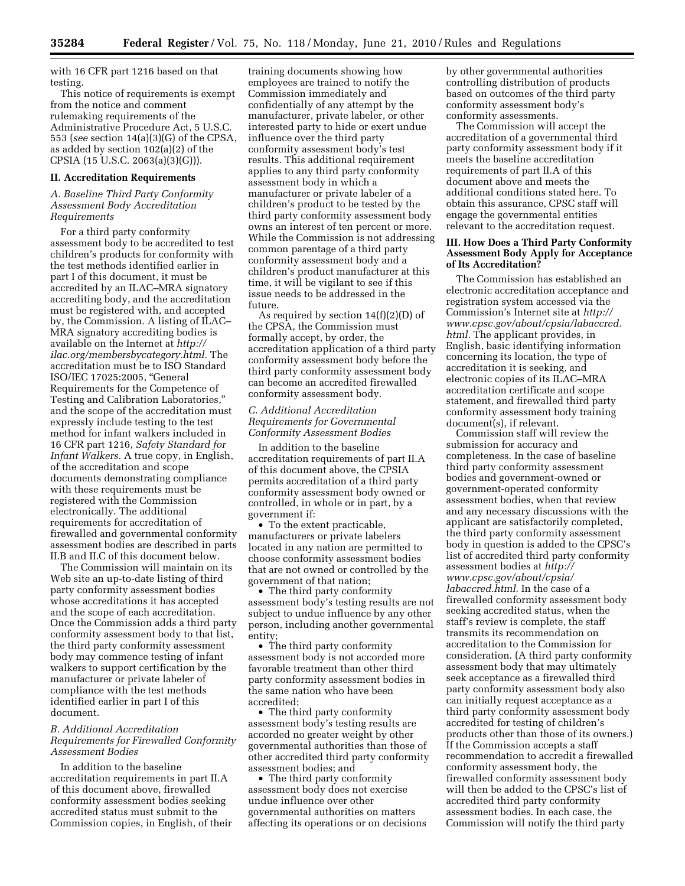with 16 CFR part 1216 based on that testing.

This notice of requirements is exempt from the notice and comment rulemaking requirements of the Administrative Procedure Act, 5 U.S.C. 553 (*see* section 14(a)(3)(G) of the CPSA, as added by section 102(a)(2) of the CPSIA (15 U.S.C. 2063(a)(3)(G))).

#### **II. Accreditation Requirements**

#### *A. Baseline Third Party Conformity Assessment Body Accreditation Requirements*

For a third party conformity assessment body to be accredited to test children's products for conformity with the test methods identified earlier in part I of this document, it must be accredited by an ILAC–MRA signatory accrediting body, and the accreditation must be registered with, and accepted by, the Commission. A listing of ILAC– MRA signatory accrediting bodies is available on the Internet at *http:// ilac.org/membersbycategory.html.* The accreditation must be to ISO Standard ISO/IEC 17025:2005, ''General Requirements for the Competence of Testing and Calibration Laboratories,'' and the scope of the accreditation must expressly include testing to the test method for infant walkers included in 16 CFR part 1216, *Safety Standard for Infant Walkers.* A true copy, in English, of the accreditation and scope documents demonstrating compliance with these requirements must be registered with the Commission electronically. The additional requirements for accreditation of firewalled and governmental conformity assessment bodies are described in parts II.B and II.C of this document below.

The Commission will maintain on its Web site an up-to-date listing of third party conformity assessment bodies whose accreditations it has accepted and the scope of each accreditation. Once the Commission adds a third party conformity assessment body to that list, the third party conformity assessment body may commence testing of infant walkers to support certification by the manufacturer or private labeler of compliance with the test methods identified earlier in part I of this document.

#### *B. Additional Accreditation Requirements for Firewalled Conformity Assessment Bodies*

In addition to the baseline accreditation requirements in part II.A of this document above, firewalled conformity assessment bodies seeking accredited status must submit to the Commission copies, in English, of their

training documents showing how employees are trained to notify the Commission immediately and confidentially of any attempt by the manufacturer, private labeler, or other interested party to hide or exert undue influence over the third party conformity assessment body's test results. This additional requirement applies to any third party conformity assessment body in which a manufacturer or private labeler of a children's product to be tested by the third party conformity assessment body owns an interest of ten percent or more. While the Commission is not addressing common parentage of a third party conformity assessment body and a children's product manufacturer at this time, it will be vigilant to see if this issue needs to be addressed in the future.

As required by section  $14(f)(2)(D)$  of the CPSA, the Commission must formally accept, by order, the accreditation application of a third party conformity assessment body before the third party conformity assessment body can become an accredited firewalled conformity assessment body.

## *C. Additional Accreditation Requirements for Governmental Conformity Assessment Bodies*

In addition to the baseline accreditation requirements of part II.A of this document above, the CPSIA permits accreditation of a third party conformity assessment body owned or controlled, in whole or in part, by a government if:

• To the extent practicable, manufacturers or private labelers located in any nation are permitted to choose conformity assessment bodies that are not owned or controlled by the government of that nation;

• The third party conformity assessment body's testing results are not subject to undue influence by any other person, including another governmental entity;

• The third party conformity assessment body is not accorded more favorable treatment than other third party conformity assessment bodies in the same nation who have been accredited;

• The third party conformity assessment body's testing results are accorded no greater weight by other governmental authorities than those of other accredited third party conformity assessment bodies; and

• The third party conformity assessment body does not exercise undue influence over other governmental authorities on matters affecting its operations or on decisions by other governmental authorities controlling distribution of products based on outcomes of the third party conformity assessment body's conformity assessments.

The Commission will accept the accreditation of a governmental third party conformity assessment body if it meets the baseline accreditation requirements of part II.A of this document above and meets the additional conditions stated here. To obtain this assurance, CPSC staff will engage the governmental entities relevant to the accreditation request.

#### **III. How Does a Third Party Conformity Assessment Body Apply for Acceptance of Its Accreditation?**

The Commission has established an electronic accreditation acceptance and registration system accessed via the Commission's Internet site at *http:// www.cpsc.gov/about/cpsia/labaccred. html.* The applicant provides, in English, basic identifying information concerning its location, the type of accreditation it is seeking, and electronic copies of its ILAC–MRA accreditation certificate and scope statement, and firewalled third party conformity assessment body training document(s), if relevant.

Commission staff will review the submission for accuracy and completeness. In the case of baseline third party conformity assessment bodies and government-owned or government-operated conformity assessment bodies, when that review and any necessary discussions with the applicant are satisfactorily completed, the third party conformity assessment body in question is added to the CPSC's list of accredited third party conformity assessment bodies at *http:// www.cpsc.gov/about/cpsia/ labaccred.html.* In the case of a firewalled conformity assessment body seeking accredited status, when the staff's review is complete, the staff transmits its recommendation on accreditation to the Commission for consideration. (A third party conformity assessment body that may ultimately seek acceptance as a firewalled third party conformity assessment body also can initially request acceptance as a third party conformity assessment body accredited for testing of children's products other than those of its owners.) If the Commission accepts a staff recommendation to accredit a firewalled conformity assessment body, the firewalled conformity assessment body will then be added to the CPSC's list of accredited third party conformity assessment bodies. In each case, the Commission will notify the third party